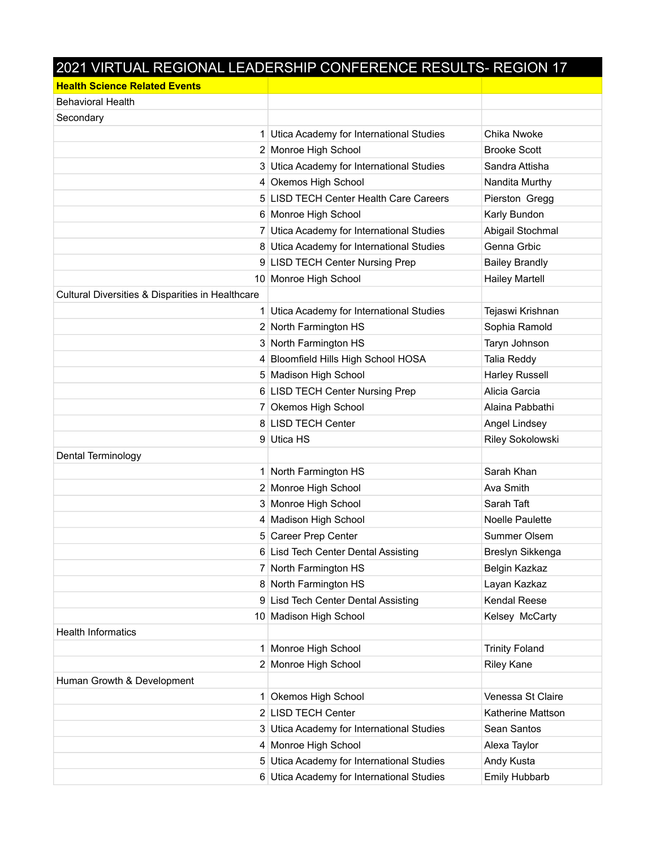## 2021 VIRTUAL REGIONAL LEADERSHIP CONFERENCE RESULTS- REGION 17

| <b>Health Science Related Events</b>             |                                           |                       |
|--------------------------------------------------|-------------------------------------------|-----------------------|
| <b>Behavioral Health</b>                         |                                           |                       |
| Secondary                                        |                                           |                       |
| 1                                                | Utica Academy for International Studies   | Chika Nwoke           |
|                                                  | 2 Monroe High School                      | <b>Brooke Scott</b>   |
|                                                  | 3 Utica Academy for International Studies | Sandra Attisha        |
|                                                  | 4 Okemos High School                      | Nandita Murthy        |
|                                                  | 5 LISD TECH Center Health Care Careers    | Pierston Gregg        |
|                                                  | 6 Monroe High School                      | Karly Bundon          |
|                                                  | 7 Utica Academy for International Studies | Abigail Stochmal      |
|                                                  | 8 Utica Academy for International Studies | Genna Grbic           |
|                                                  | 9 LISD TECH Center Nursing Prep           | <b>Bailey Brandly</b> |
|                                                  | 10 Monroe High School                     | <b>Hailey Martell</b> |
| Cultural Diversities & Disparities in Healthcare |                                           |                       |
|                                                  | 1 Utica Academy for International Studies | Tejaswi Krishnan      |
|                                                  | 2 North Farmington HS                     | Sophia Ramold         |
|                                                  | 3 North Farmington HS                     | Taryn Johnson         |
|                                                  | 4 Bloomfield Hills High School HOSA       | Talia Reddy           |
|                                                  | 5 Madison High School                     | <b>Harley Russell</b> |
|                                                  | 6 LISD TECH Center Nursing Prep           | Alicia Garcia         |
|                                                  | 7 Okemos High School                      | Alaina Pabbathi       |
|                                                  | 8 LISD TECH Center                        | <b>Angel Lindsey</b>  |
|                                                  | 9 Utica HS                                | Riley Sokolowski      |
| Dental Terminology                               |                                           |                       |
| 1                                                | North Farmington HS                       | Sarah Khan            |
|                                                  | 2 Monroe High School                      | Ava Smith             |
|                                                  | 3 Monroe High School                      | Sarah Taft            |
|                                                  | 4 Madison High School                     | Noelle Paulette       |
|                                                  | 5 Career Prep Center                      | Summer Olsem          |
|                                                  | 6 Lisd Tech Center Dental Assisting       | Breslyn Sikkenga      |
|                                                  | 7 North Farmington HS                     | Belgin Kazkaz         |
|                                                  | 8 North Farmington HS                     | Layan Kazkaz          |
|                                                  | 9 Lisd Tech Center Dental Assisting       | <b>Kendal Reese</b>   |
|                                                  | 10 Madison High School                    | Kelsey McCarty        |
| <b>Health Informatics</b>                        |                                           |                       |
|                                                  | 1 Monroe High School                      | <b>Trinity Foland</b> |
|                                                  | 2 Monroe High School                      | <b>Riley Kane</b>     |
| Human Growth & Development                       |                                           |                       |
| 1                                                | Okemos High School                        | Venessa St Claire     |
|                                                  | 2 LISD TECH Center                        | Katherine Mattson     |
| 3                                                | Utica Academy for International Studies   | Sean Santos           |
|                                                  | 4 Monroe High School                      | Alexa Taylor          |
| 5                                                | Utica Academy for International Studies   | Andy Kusta            |
|                                                  | 6 Utica Academy for International Studies | <b>Emily Hubbarb</b>  |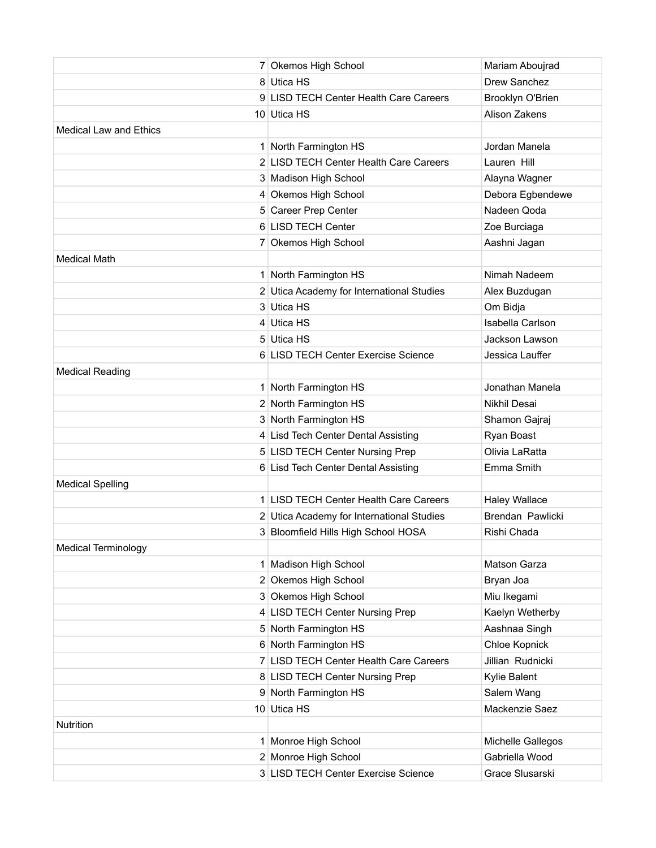|                               | 7 Okemos High School                      | Mariam Aboujrad      |
|-------------------------------|-------------------------------------------|----------------------|
|                               | 8 Utica HS                                | Drew Sanchez         |
|                               | 9 LISD TECH Center Health Care Careers    | Brooklyn O'Brien     |
|                               | 10 Utica HS                               | Alison Zakens        |
| <b>Medical Law and Ethics</b> |                                           |                      |
|                               | 1 North Farmington HS                     | Jordan Manela        |
|                               | 2 LISD TECH Center Health Care Careers    | Lauren Hill          |
|                               | 3 Madison High School                     | Alayna Wagner        |
|                               | 4 Okemos High School                      | Debora Egbendewe     |
|                               | 5 Career Prep Center                      | Nadeen Qoda          |
|                               | 6 LISD TECH Center                        | Zoe Burciaga         |
|                               | 7 Okemos High School                      | Aashni Jagan         |
| <b>Medical Math</b>           |                                           |                      |
|                               | 1 North Farmington HS                     | Nimah Nadeem         |
|                               | 2 Utica Academy for International Studies | Alex Buzdugan        |
|                               | 3 Utica HS                                | Om Bidja             |
|                               | 4 Utica HS                                | Isabella Carlson     |
|                               | 5 Utica HS                                | Jackson Lawson       |
|                               | 6 LISD TECH Center Exercise Science       | Jessica Lauffer      |
| <b>Medical Reading</b>        |                                           |                      |
|                               | 1 North Farmington HS                     | Jonathan Manela      |
|                               | 2 North Farmington HS                     | Nikhil Desai         |
|                               | 3 North Farmington HS                     | Shamon Gajraj        |
|                               | 4 Lisd Tech Center Dental Assisting       | Ryan Boast           |
|                               | 5 LISD TECH Center Nursing Prep           | Olivia LaRatta       |
|                               | 6 Lisd Tech Center Dental Assisting       | Emma Smith           |
| <b>Medical Spelling</b>       |                                           |                      |
|                               | 1 LISD TECH Center Health Care Careers    | <b>Haley Wallace</b> |
|                               | 2 Utica Academy for International Studies | Brendan Pawlicki     |
|                               | 3 Bloomfield Hills High School HOSA       | Rishi Chada          |
| <b>Medical Terminology</b>    |                                           |                      |
|                               | 1 Madison High School                     | Matson Garza         |
|                               | 2 Okemos High School                      | Bryan Joa            |
|                               | 3 Okemos High School                      | Miu Ikegami          |
|                               | 4 LISD TECH Center Nursing Prep           | Kaelyn Wetherby      |
|                               | 5 North Farmington HS                     | Aashnaa Singh        |
|                               | 6 North Farmington HS                     | Chloe Kopnick        |
|                               | 7 LISD TECH Center Health Care Careers    | Jillian Rudnicki     |
|                               | 8 LISD TECH Center Nursing Prep           | Kylie Balent         |
|                               | 9 North Farmington HS                     | Salem Wang           |
|                               | 10 Utica HS                               | Mackenzie Saez       |
| Nutrition                     |                                           |                      |
|                               | 1 Monroe High School                      | Michelle Gallegos    |
|                               | 2 Monroe High School                      | Gabriella Wood       |
|                               | 3 LISD TECH Center Exercise Science       | Grace Slusarski      |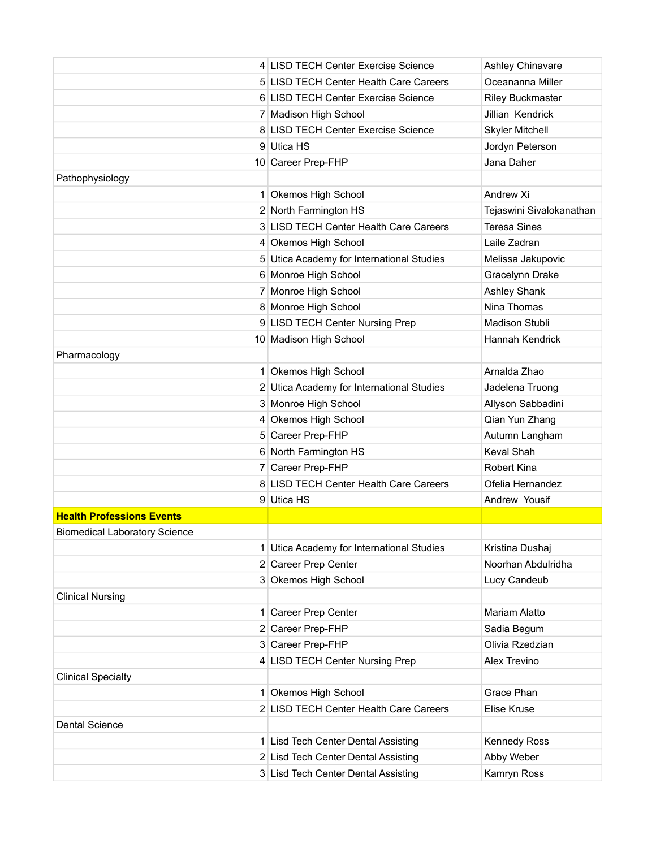|                                      | 4 LISD TECH Center Exercise Science       | Ashley Chinavare         |
|--------------------------------------|-------------------------------------------|--------------------------|
|                                      | 5 LISD TECH Center Health Care Careers    | Oceananna Miller         |
|                                      | 6 LISD TECH Center Exercise Science       | <b>Riley Buckmaster</b>  |
|                                      | 7 Madison High School                     | Jillian Kendrick         |
|                                      | 8 LISD TECH Center Exercise Science       | <b>Skyler Mitchell</b>   |
|                                      | 9 Utica HS                                | Jordyn Peterson          |
|                                      | 10 Career Prep-FHP                        | Jana Daher               |
| Pathophysiology                      |                                           |                          |
|                                      | 1 Okemos High School                      | Andrew Xi                |
|                                      | 2 North Farmington HS                     | Tejaswini Sivalokanathan |
|                                      | 3 LISD TECH Center Health Care Careers    | <b>Teresa Sines</b>      |
|                                      | 4 Okemos High School                      | Laile Zadran             |
|                                      | 5 Utica Academy for International Studies | Melissa Jakupovic        |
|                                      | 6 Monroe High School                      | Gracelynn Drake          |
|                                      | 7 Monroe High School                      | <b>Ashley Shank</b>      |
|                                      | 8 Monroe High School                      | Nina Thomas              |
|                                      | 9 LISD TECH Center Nursing Prep           | <b>Madison Stubli</b>    |
|                                      | 10 Madison High School                    | Hannah Kendrick          |
| Pharmacology                         |                                           |                          |
|                                      | 1 Okemos High School                      | Arnalda Zhao             |
|                                      | 2 Utica Academy for International Studies | Jadelena Truong          |
|                                      | 3 Monroe High School                      | Allyson Sabbadini        |
|                                      | 4 Okemos High School                      | Qian Yun Zhang           |
|                                      | 5 Career Prep-FHP                         | Autumn Langham           |
|                                      | 6 North Farmington HS                     | Keval Shah               |
|                                      | 7 Career Prep-FHP                         | Robert Kina              |
|                                      | 8 LISD TECH Center Health Care Careers    | Ofelia Hernandez         |
|                                      | 9 Utica HS                                | Andrew Yousif            |
| <b>Health Professions Events</b>     |                                           |                          |
| <b>Biomedical Laboratory Science</b> |                                           |                          |
|                                      | 1 Utica Academy for International Studies | Kristina Dushaj          |
|                                      | 2 Career Prep Center                      | Noorhan Abdulridha       |
|                                      | 3 Okemos High School                      | Lucy Candeub             |
| <b>Clinical Nursing</b>              |                                           |                          |
|                                      | 1 Career Prep Center                      | <b>Mariam Alatto</b>     |
|                                      | 2 Career Prep-FHP                         | Sadia Begum              |
|                                      | 3 Career Prep-FHP                         | Olivia Rzedzian          |
|                                      | 4 LISD TECH Center Nursing Prep           | Alex Trevino             |
| <b>Clinical Specialty</b>            |                                           |                          |
|                                      | 1 Okemos High School                      | Grace Phan               |
|                                      | 2 LISD TECH Center Health Care Careers    | Elise Kruse              |
| <b>Dental Science</b>                |                                           |                          |
|                                      | 1 Lisd Tech Center Dental Assisting       | <b>Kennedy Ross</b>      |
|                                      | 2 Lisd Tech Center Dental Assisting       | Abby Weber               |
|                                      | 3 Lisd Tech Center Dental Assisting       | Kamryn Ross              |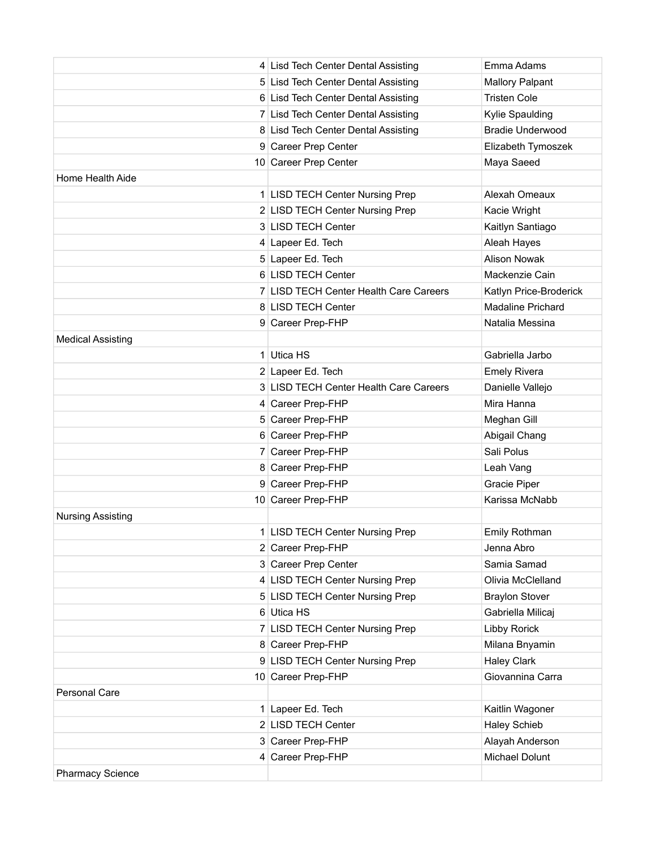|                          | 4 Lisd Tech Center Dental Assisting    | Emma Adams               |
|--------------------------|----------------------------------------|--------------------------|
|                          | 5 Lisd Tech Center Dental Assisting    | <b>Mallory Palpant</b>   |
|                          | 6 Lisd Tech Center Dental Assisting    | <b>Tristen Cole</b>      |
|                          | 7 Lisd Tech Center Dental Assisting    | Kylie Spaulding          |
|                          | 8 Lisd Tech Center Dental Assisting    | <b>Bradie Underwood</b>  |
|                          | 9 Career Prep Center                   | Elizabeth Tymoszek       |
|                          | 10 Career Prep Center                  | Maya Saeed               |
| Home Health Aide         |                                        |                          |
|                          | 1 LISD TECH Center Nursing Prep        | Alexah Omeaux            |
|                          | 2 LISD TECH Center Nursing Prep        | Kacie Wright             |
|                          | 3 LISD TECH Center                     | Kaitlyn Santiago         |
|                          | 4 Lapeer Ed. Tech                      | Aleah Hayes              |
|                          | 5 Lapeer Ed. Tech                      | <b>Alison Nowak</b>      |
|                          | 6 LISD TECH Center                     | Mackenzie Cain           |
|                          | 7 LISD TECH Center Health Care Careers | Katlyn Price-Broderick   |
|                          | 8 LISD TECH Center                     | <b>Madaline Prichard</b> |
|                          | 9 Career Prep-FHP                      | Natalia Messina          |
| <b>Medical Assisting</b> |                                        |                          |
|                          | 1 Utica HS                             | Gabriella Jarbo          |
|                          | 2 Lapeer Ed. Tech                      | <b>Emely Rivera</b>      |
|                          | 3 LISD TECH Center Health Care Careers | Danielle Vallejo         |
|                          | 4 Career Prep-FHP                      | Mira Hanna               |
|                          | 5 Career Prep-FHP                      | Meghan Gill              |
|                          | 6 Career Prep-FHP                      | Abigail Chang            |
|                          | 7 Career Prep-FHP                      | Sali Polus               |
|                          | 8 Career Prep-FHP                      | Leah Vang                |
|                          | 9 Career Prep-FHP                      | Gracie Piper             |
|                          | 10 Career Prep-FHP                     | Karissa McNabb           |
| <b>Nursing Assisting</b> |                                        |                          |
|                          | 1 LISD TECH Center Nursing Prep        | Emily Rothman            |
|                          | 2 Career Prep-FHP                      | Jenna Abro               |
|                          | 3 Career Prep Center                   | Samia Samad              |
|                          | 4 LISD TECH Center Nursing Prep        | Olivia McClelland        |
|                          | 5 LISD TECH Center Nursing Prep        | <b>Braylon Stover</b>    |
|                          | 6 Utica HS                             | Gabriella Milicaj        |
|                          | 7 LISD TECH Center Nursing Prep        | <b>Libby Rorick</b>      |
|                          | 8 Career Prep-FHP                      | Milana Bnyamin           |
|                          | 9 LISD TECH Center Nursing Prep        | <b>Haley Clark</b>       |
|                          | 10 Career Prep-FHP                     | Giovannina Carra         |
| <b>Personal Care</b>     |                                        |                          |
|                          | 1 Lapeer Ed. Tech                      | Kaitlin Wagoner          |
|                          | 2 LISD TECH Center                     | <b>Haley Schieb</b>      |
|                          | 3 Career Prep-FHP                      | Alayah Anderson          |
|                          | 4 Career Prep-FHP                      | Michael Dolunt           |
| <b>Pharmacy Science</b>  |                                        |                          |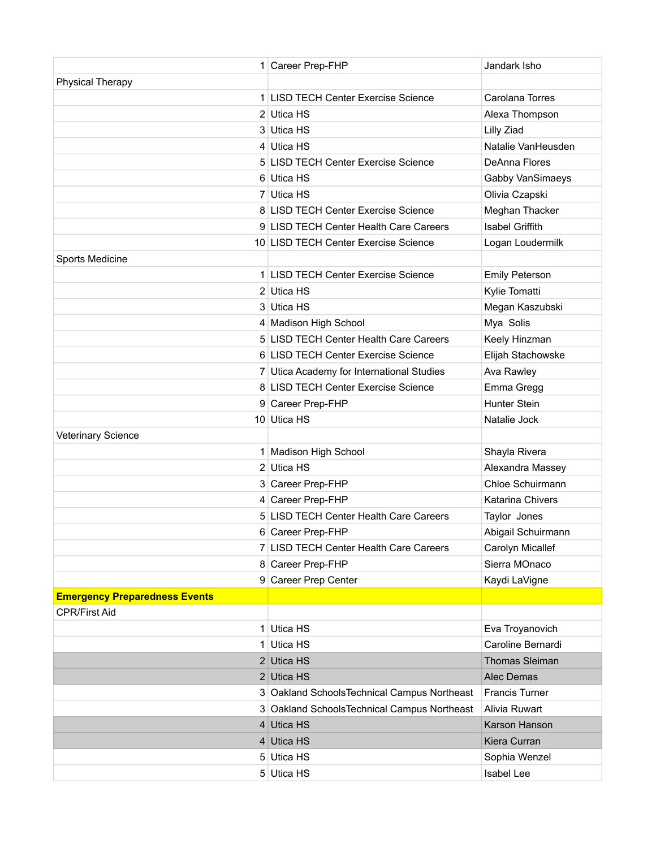|                                      | 1 Career Prep-FHP                           | Jandark Isho            |
|--------------------------------------|---------------------------------------------|-------------------------|
| <b>Physical Therapy</b>              |                                             |                         |
|                                      | 1 LISD TECH Center Exercise Science         | Carolana Torres         |
|                                      | 2 Utica HS                                  | Alexa Thompson          |
|                                      | 3 Utica HS                                  | Lilly Ziad              |
|                                      | 4 Utica HS                                  | Natalie VanHeusden      |
|                                      | 5 LISD TECH Center Exercise Science         | DeAnna Flores           |
|                                      | 6 Utica HS                                  | Gabby VanSimaeys        |
|                                      | 7 Utica HS                                  | Olivia Czapski          |
|                                      | 8 LISD TECH Center Exercise Science         | Meghan Thacker          |
|                                      | 9 LISD TECH Center Health Care Careers      | <b>Isabel Griffith</b>  |
|                                      | 10 LISD TECH Center Exercise Science        | Logan Loudermilk        |
| Sports Medicine                      |                                             |                         |
|                                      | 1 LISD TECH Center Exercise Science         | <b>Emily Peterson</b>   |
|                                      | 2 Utica HS                                  | Kylie Tomatti           |
|                                      | 3 Utica HS                                  | Megan Kaszubski         |
|                                      | 4 Madison High School                       | Mya Solis               |
|                                      | 5 LISD TECH Center Health Care Careers      | Keely Hinzman           |
|                                      | 6 LISD TECH Center Exercise Science         | Elijah Stachowske       |
|                                      | 7 Utica Academy for International Studies   | Ava Rawley              |
|                                      | 8 LISD TECH Center Exercise Science         | Emma Gregg              |
|                                      | 9 Career Prep-FHP                           | Hunter Stein            |
|                                      | 10 Utica HS                                 | Natalie Jock            |
| Veterinary Science                   |                                             |                         |
|                                      | 1 Madison High School                       | Shayla Rivera           |
|                                      | 2 Utica HS                                  | Alexandra Massey        |
|                                      | 3 Career Prep-FHP                           | Chloe Schuirmann        |
|                                      | 4 Career Prep-FHP                           | <b>Katarina Chivers</b> |
|                                      | 5 LISD TECH Center Health Care Careers      | Taylor Jones            |
|                                      | 6 Career Prep-FHP                           | Abigail Schuirmann      |
|                                      | 7 LISD TECH Center Health Care Careers      | Carolyn Micallef        |
|                                      | 8 Career Prep-FHP                           | Sierra MOnaco           |
|                                      | 9 Career Prep Center                        | Kaydi LaVigne           |
| <b>Emergency Preparedness Events</b> |                                             |                         |
| <b>CPR/First Aid</b>                 |                                             |                         |
| 1 <sup>1</sup>                       | Utica HS                                    | Eva Troyanovich         |
| 1                                    | Utica HS                                    | Caroline Bernardi       |
|                                      | 2 Utica HS                                  | <b>Thomas Sleiman</b>   |
|                                      | 2 Utica HS                                  | Alec Demas              |
|                                      | 3 Oakland SchoolsTechnical Campus Northeast | <b>Francis Turner</b>   |
|                                      | 3 Oakland SchoolsTechnical Campus Northeast | Alivia Ruwart           |
|                                      | 4 Utica HS                                  | Karson Hanson           |
|                                      | 4 Utica HS                                  | Kiera Curran            |
|                                      | 5 Utica HS                                  | Sophia Wenzel           |
|                                      | 5 Utica HS                                  | Isabel Lee              |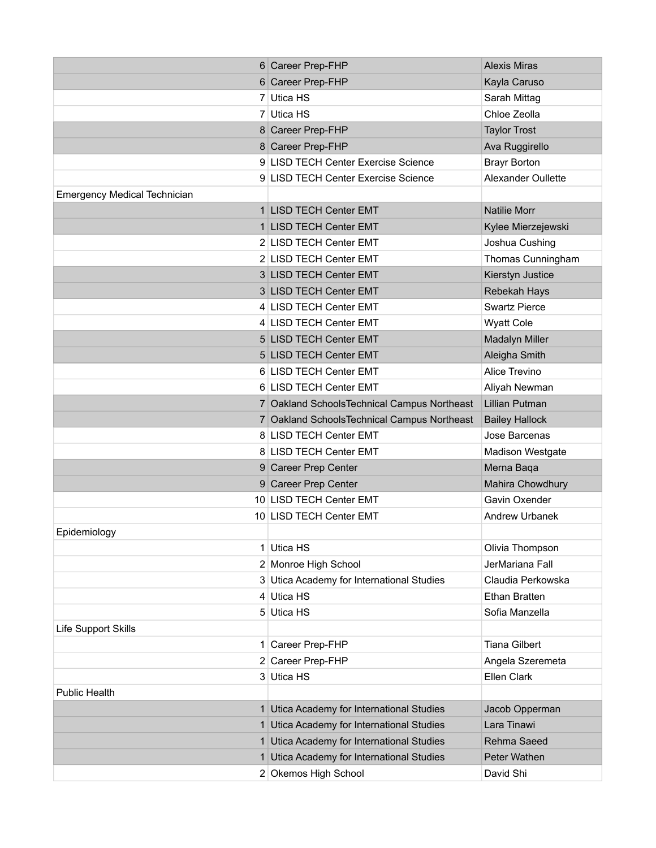|                                     | 6 Career Prep-FHP                            | <b>Alexis Miras</b>     |
|-------------------------------------|----------------------------------------------|-------------------------|
|                                     | 6 Career Prep-FHP                            | Kayla Caruso            |
|                                     | 7 Utica HS                                   | Sarah Mittag            |
|                                     | 7 Utica HS                                   | Chloe Zeolla            |
|                                     | 8 Career Prep-FHP                            | <b>Taylor Trost</b>     |
|                                     | 8 Career Prep-FHP                            | Ava Ruggirello          |
|                                     | 9 LISD TECH Center Exercise Science          | <b>Brayr Borton</b>     |
|                                     | 9 LISD TECH Center Exercise Science          | Alexander Oullette      |
| <b>Emergency Medical Technician</b> |                                              |                         |
|                                     | 1 LISD TECH Center EMT                       | <b>Natilie Morr</b>     |
|                                     | 1 LISD TECH Center EMT                       | Kylee Mierzejewski      |
|                                     | 2 LISD TECH Center EMT                       | Joshua Cushing          |
|                                     | 2 LISD TECH Center EMT                       | Thomas Cunningham       |
|                                     | 3 LISD TECH Center EMT                       | Kierstyn Justice        |
|                                     | 3 LISD TECH Center EMT                       | Rebekah Hays            |
|                                     | 4 LISD TECH Center EMT                       | <b>Swartz Pierce</b>    |
|                                     | 4 LISD TECH Center EMT                       | <b>Wyatt Cole</b>       |
|                                     | 5 LISD TECH Center EMT                       | <b>Madalyn Miller</b>   |
|                                     | 5 LISD TECH Center EMT                       | Aleigha Smith           |
|                                     | 6 LISD TECH Center EMT                       | Alice Trevino           |
|                                     | 6 LISD TECH Center EMT                       | Aliyah Newman           |
|                                     | 7 Oakland Schools Technical Campus Northeast | <b>Lillian Putman</b>   |
|                                     | 7 Oakland Schools Technical Campus Northeast | <b>Bailey Hallock</b>   |
|                                     | 8 LISD TECH Center EMT                       | Jose Barcenas           |
|                                     | 8 LISD TECH Center EMT                       | <b>Madison Westgate</b> |
|                                     | 9 Career Prep Center                         | Merna Baqa              |
|                                     | 9 Career Prep Center                         | Mahira Chowdhury        |
|                                     | 10 LISD TECH Center EMT                      | Gavin Oxender           |
|                                     | 10 LISD TECH Center EMT                      | <b>Andrew Urbanek</b>   |
| Epidemiology                        |                                              |                         |
|                                     | 1 Utica HS                                   | Olivia Thompson         |
|                                     | 2 Monroe High School                         | JerMariana Fall         |
|                                     | 3 Utica Academy for International Studies    | Claudia Perkowska       |
|                                     | 4 Utica HS                                   | Ethan Bratten           |
|                                     | 5 Utica HS                                   | Sofia Manzella          |
| Life Support Skills                 |                                              |                         |
|                                     | 1 Career Prep-FHP                            | <b>Tiana Gilbert</b>    |
|                                     | 2 Career Prep-FHP                            | Angela Szeremeta        |
|                                     | 3 Utica HS                                   | Ellen Clark             |
| <b>Public Health</b>                |                                              |                         |
|                                     | 1 Utica Academy for International Studies    | Jacob Opperman          |
|                                     | 1 Utica Academy for International Studies    | Lara Tinawi             |
|                                     | 1 Utica Academy for International Studies    | Rehma Saeed             |
|                                     | 1 Utica Academy for International Studies    | Peter Wathen            |
|                                     | 2 Okemos High School                         | David Shi               |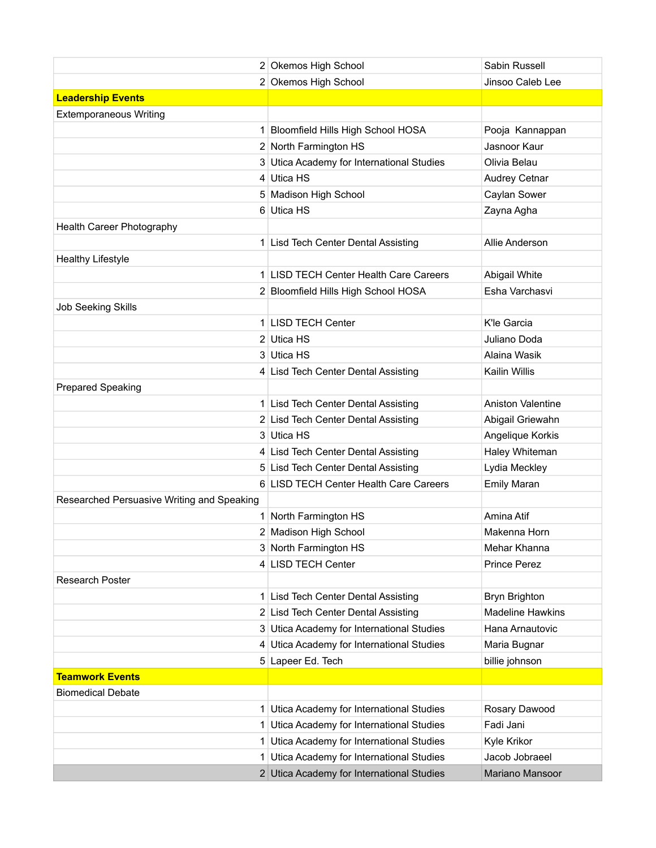|                                            | 2 Okemos High School                      | Sabin Russell            |
|--------------------------------------------|-------------------------------------------|--------------------------|
|                                            | 2 Okemos High School                      | Jinsoo Caleb Lee         |
| <b>Leadership Events</b>                   |                                           |                          |
| <b>Extemporaneous Writing</b>              |                                           |                          |
|                                            | 1 Bloomfield Hills High School HOSA       | Pooja Kannappan          |
|                                            | 2 North Farmington HS                     | Jasnoor Kaur             |
|                                            | 3 Utica Academy for International Studies | Olivia Belau             |
|                                            | 4 Utica HS                                | <b>Audrey Cetnar</b>     |
|                                            | 5 Madison High School                     | Caylan Sower             |
|                                            | 6 Utica HS                                | Zayna Agha               |
| Health Career Photography                  |                                           |                          |
|                                            | 1 Lisd Tech Center Dental Assisting       | Allie Anderson           |
| <b>Healthy Lifestyle</b>                   |                                           |                          |
|                                            | 1 LISD TECH Center Health Care Careers    | Abigail White            |
|                                            | 2 Bloomfield Hills High School HOSA       | Esha Varchasvi           |
| <b>Job Seeking Skills</b>                  |                                           |                          |
|                                            | 1 LISD TECH Center                        | K'le Garcia              |
|                                            | 2 Utica HS                                | Juliano Doda             |
|                                            | 3 Utica HS                                | Alaina Wasik             |
|                                            | 4 Lisd Tech Center Dental Assisting       | Kailin Willis            |
| <b>Prepared Speaking</b>                   |                                           |                          |
|                                            | 1 Lisd Tech Center Dental Assisting       | <b>Aniston Valentine</b> |
|                                            | 2 Lisd Tech Center Dental Assisting       | Abigail Griewahn         |
|                                            | 3 Utica HS                                | Angelique Korkis         |
|                                            | 4 Lisd Tech Center Dental Assisting       | Haley Whiteman           |
|                                            | 5 Lisd Tech Center Dental Assisting       | Lydia Meckley            |
|                                            | 6 LISD TECH Center Health Care Careers    | <b>Emily Maran</b>       |
| Researched Persuasive Writing and Speaking |                                           |                          |
|                                            | 1 North Farmington HS                     | Amina Atif               |
|                                            | 2 Madison High School                     | Makenna Horn             |
|                                            | 3 North Farmington HS                     | Mehar Khanna             |
|                                            | 4 LISD TECH Center                        | Prince Perez             |
| <b>Research Poster</b>                     |                                           |                          |
|                                            | 1 Lisd Tech Center Dental Assisting       | Bryn Brighton            |
|                                            | 2 Lisd Tech Center Dental Assisting       | <b>Madeline Hawkins</b>  |
|                                            | 3 Utica Academy for International Studies | Hana Arnautovic          |
|                                            | 4 Utica Academy for International Studies | Maria Bugnar             |
|                                            | 5 Lapeer Ed. Tech                         | billie johnson           |
| <b>Teamwork Events</b>                     |                                           |                          |
| <b>Biomedical Debate</b>                   |                                           |                          |
|                                            | 1 Utica Academy for International Studies | Rosary Dawood            |
|                                            | 1 Utica Academy for International Studies | Fadi Jani                |
|                                            | 1 Utica Academy for International Studies | Kyle Krikor              |
| 1 <sup>1</sup>                             | Utica Academy for International Studies   | Jacob Jobraeel           |
|                                            | 2 Utica Academy for International Studies | Mariano Mansoor          |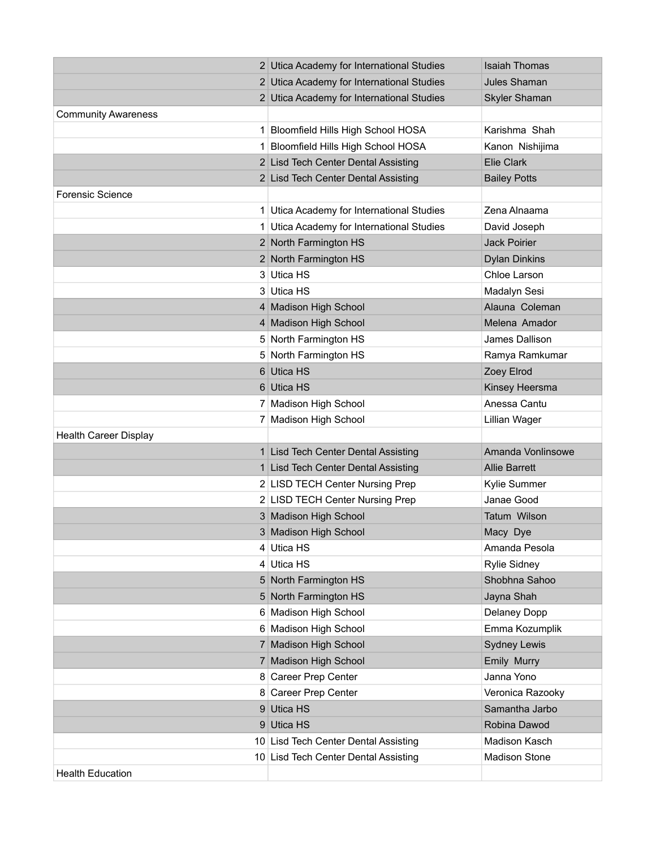|                              | 2 Utica Academy for International Studies | <b>Isaiah Thomas</b> |
|------------------------------|-------------------------------------------|----------------------|
|                              | 2 Utica Academy for International Studies | <b>Jules Shaman</b>  |
|                              | 2 Utica Academy for International Studies | Skyler Shaman        |
| <b>Community Awareness</b>   |                                           |                      |
|                              | 1 Bloomfield Hills High School HOSA       | Karishma Shah        |
|                              | 1 Bloomfield Hills High School HOSA       | Kanon Nishijima      |
|                              | 2 Lisd Tech Center Dental Assisting       | <b>Elie Clark</b>    |
|                              | 2 Lisd Tech Center Dental Assisting       | <b>Bailey Potts</b>  |
| Forensic Science             |                                           |                      |
|                              | 1 Utica Academy for International Studies | Zena Alnaama         |
|                              | 1 Utica Academy for International Studies | David Joseph         |
|                              | 2 North Farmington HS                     | <b>Jack Poirier</b>  |
|                              | 2 North Farmington HS                     | <b>Dylan Dinkins</b> |
|                              | 3 Utica HS                                | Chloe Larson         |
|                              | 3 Utica HS                                | Madalyn Sesi         |
|                              | 4 Madison High School                     | Alauna Coleman       |
|                              | 4 Madison High School                     | Melena Amador        |
|                              | 5 North Farmington HS                     | James Dallison       |
|                              | 5 North Farmington HS                     | Ramya Ramkumar       |
|                              | 6 Utica HS                                | Zoey Elrod           |
|                              | 6 Utica HS                                | Kinsey Heersma       |
|                              | 7 Madison High School                     | Anessa Cantu         |
|                              | 7 Madison High School                     | Lillian Wager        |
| <b>Health Career Display</b> |                                           |                      |
|                              | 1 Lisd Tech Center Dental Assisting       | Amanda Vonlinsowe    |
|                              | 1 Lisd Tech Center Dental Assisting       | <b>Allie Barrett</b> |
|                              | 2 LISD TECH Center Nursing Prep           | Kylie Summer         |
|                              | 2 LISD TECH Center Nursing Prep           | Janae Good           |
|                              | 3 Madison High School                     | Tatum Wilson         |
|                              | 3 Madison High School                     | Macy Dye             |
|                              | 4 Utica HS                                | Amanda Pesola        |
|                              | 4 Utica HS                                | <b>Rylie Sidney</b>  |
|                              | 5 North Farmington HS                     | Shobhna Sahoo        |
|                              | 5 North Farmington HS                     | Jayna Shah           |
|                              | 6 Madison High School                     | Delaney Dopp         |
|                              | 6 Madison High School                     | Emma Kozumplik       |
|                              | 7 Madison High School                     | <b>Sydney Lewis</b>  |
|                              | 7 Madison High School                     | Emily Murry          |
|                              | 8 Career Prep Center                      | Janna Yono           |
|                              | 8 Career Prep Center                      | Veronica Razooky     |
|                              | 9 Utica HS                                | Samantha Jarbo       |
|                              | 9 Utica HS                                | Robina Dawod         |
|                              | 10 Lisd Tech Center Dental Assisting      | Madison Kasch        |
|                              | 10 Lisd Tech Center Dental Assisting      | <b>Madison Stone</b> |
| <b>Health Education</b>      |                                           |                      |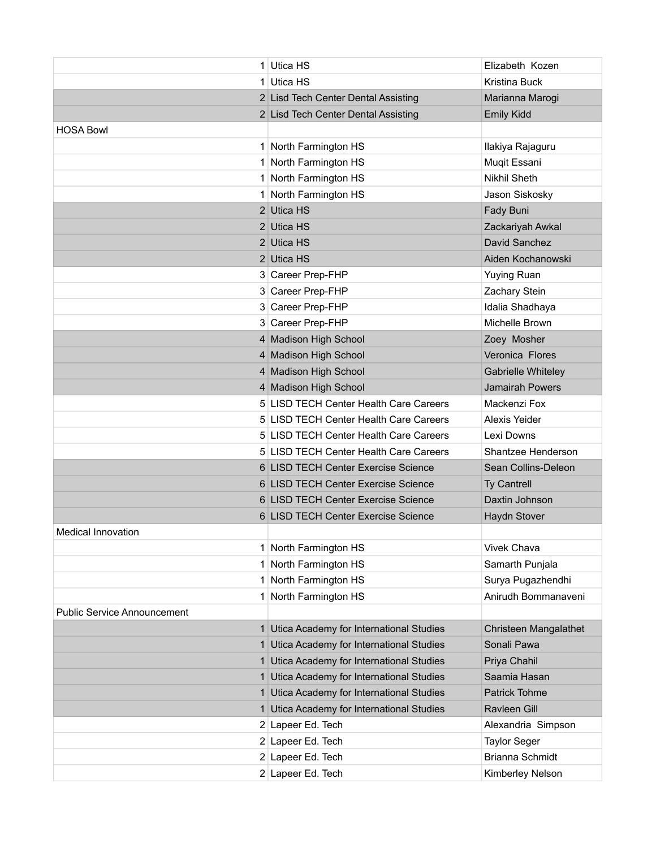|                                    | 1 Utica HS                                | Elizabeth Kozen        |
|------------------------------------|-------------------------------------------|------------------------|
|                                    | 1 Utica HS                                | Kristina Buck          |
|                                    | 2 Lisd Tech Center Dental Assisting       | Marianna Marogi        |
|                                    | 2 Lisd Tech Center Dental Assisting       | <b>Emily Kidd</b>      |
| <b>HOSA Bowl</b>                   |                                           |                        |
|                                    | 1 North Farmington HS                     | Ilakiya Rajaguru       |
|                                    | 1 North Farmington HS                     | Muqit Essani           |
|                                    | 1 North Farmington HS                     | <b>Nikhil Sheth</b>    |
|                                    | 1 North Farmington HS                     | Jason Siskosky         |
|                                    | 2 Utica HS                                | Fady Buni              |
|                                    | 2 Utica HS                                | Zackariyah Awkal       |
|                                    | 2 Utica HS                                | David Sanchez          |
|                                    | 2 Utica HS                                | Aiden Kochanowski      |
|                                    | 3 Career Prep-FHP                         | <b>Yuying Ruan</b>     |
|                                    | 3 Career Prep-FHP                         | Zachary Stein          |
|                                    | 3 Career Prep-FHP                         | Idalia Shadhaya        |
|                                    | 3 Career Prep-FHP                         | Michelle Brown         |
|                                    | 4 Madison High School                     | Zoey Mosher            |
|                                    | 4 Madison High School                     | Veronica Flores        |
|                                    | 4 Madison High School                     | Gabrielle Whiteley     |
|                                    | 4 Madison High School                     | <b>Jamairah Powers</b> |
|                                    | 5 LISD TECH Center Health Care Careers    | Mackenzi Fox           |
|                                    | 5 LISD TECH Center Health Care Careers    | Alexis Yeider          |
|                                    | 5 LISD TECH Center Health Care Careers    | Lexi Downs             |
|                                    | 5 LISD TECH Center Health Care Careers    | Shantzee Henderson     |
|                                    | 6 LISD TECH Center Exercise Science       | Sean Collins-Deleon    |
|                                    | 6 LISD TECH Center Exercise Science       | <b>Ty Cantrell</b>     |
|                                    | 6 LISD TECH Center Exercise Science       | Daxtin Johnson         |
|                                    | 6 LISD TECH Center Exercise Science       | Haydn Stover           |
| Medical Innovation                 |                                           |                        |
|                                    | 1 North Farmington HS                     | <b>Vivek Chava</b>     |
|                                    | 1 North Farmington HS                     | Samarth Punjala        |
|                                    | 1 North Farmington HS                     | Surya Pugazhendhi      |
|                                    | 1 North Farmington HS                     | Anirudh Bommanaveni    |
| <b>Public Service Announcement</b> |                                           |                        |
| 1                                  | Utica Academy for International Studies   | Christeen Mangalathet  |
|                                    | 1 Utica Academy for International Studies | Sonali Pawa            |
| 1                                  | Utica Academy for International Studies   | Priya Chahil           |
|                                    | 1 Utica Academy for International Studies | Saamia Hasan           |
| 1.                                 | Utica Academy for International Studies   | Patrick Tohme          |
| 1                                  | Utica Academy for International Studies   | Ravleen Gill           |
|                                    | 2 Lapeer Ed. Tech                         | Alexandria Simpson     |
|                                    | 2 Lapeer Ed. Tech                         | <b>Taylor Seger</b>    |
|                                    | 2 Lapeer Ed. Tech                         | Brianna Schmidt        |
|                                    | 2 Lapeer Ed. Tech                         | Kimberley Nelson       |